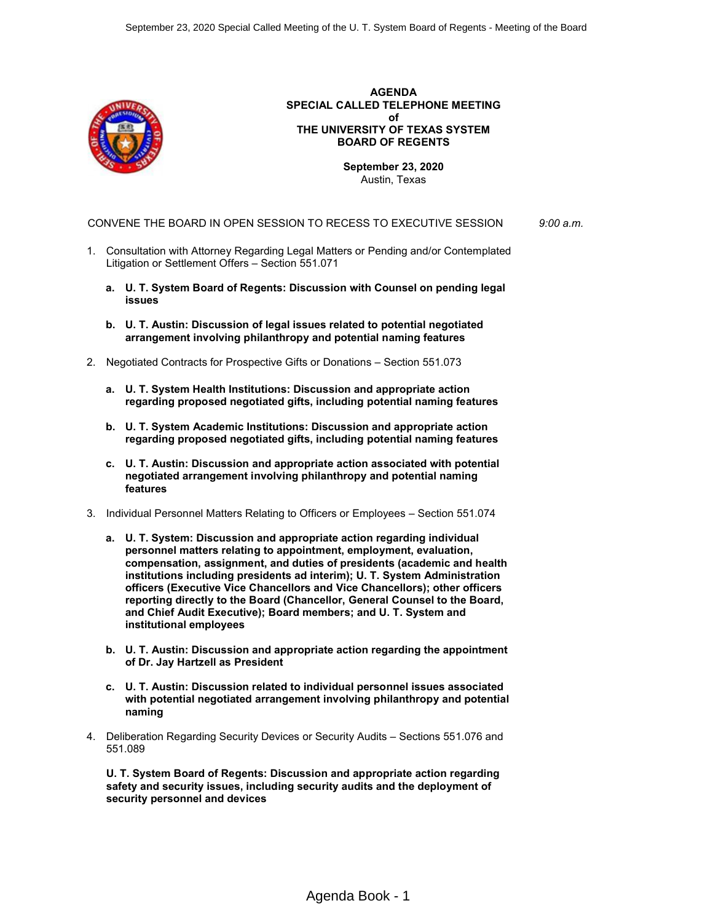

**AGENDA SPECIAL CALLED TELEPHONE MEETING of THE UNIVERSITY OF TEXAS SYSTEM BOARD OF REGENTS**

> **September 23, 2020** Austin, Texas

CONVENE THE BOARD IN OPEN SESSION TO RECESS TO EXECUTIVE SESSION *9:00 a.m.*

- 1. Consultation with Attorney Regarding Legal Matters or Pending and/or Contemplated Litigation or Settlement Offers – Section 551.071
	- **a. U. T. System Board of Regents: Discussion with Counsel on pending legal issues**
	- **b. U. T. Austin: Discussion of legal issues related to potential negotiated arrangement involving philanthropy and potential naming features**
- 2. Negotiated Contracts for Prospective Gifts or Donations Section 551.073
	- **a. U. T. System Health Institutions: Discussion and appropriate action regarding proposed negotiated gifts, including potential naming features**
	- **b. U. T. System Academic Institutions: Discussion and appropriate action regarding proposed negotiated gifts, including potential naming features**
	- **c. U. T. Austin: Discussion and appropriate action associated with potential negotiated arrangement involving philanthropy and potential naming features**
- 3. Individual Personnel Matters Relating to Officers or Employees Section 551.074
	- **a. U. T. System: Discussion and appropriate action regarding individual personnel matters relating to appointment, employment, evaluation, compensation, assignment, and duties of presidents (academic and health institutions including presidents ad interim); U. T. System Administration officers (Executive Vice Chancellors and Vice Chancellors); other officers reporting directly to the Board (Chancellor, General Counsel to the Board, and Chief Audit Executive); Board members; and U. T. System and institutional employees**
	- **b. U. T. Austin: Discussion and appropriate action regarding the appointment of Dr. Jay Hartzell as President**
	- **c. U. T. Austin: Discussion related to individual personnel issues associated with potential negotiated arrangement involving philanthropy and potential naming**
- 4. Deliberation Regarding Security Devices or Security Audits Sections 551.076 and 551.089

**U. T. System Board of Regents: Discussion and appropriate action regarding safety and security issues, including security audits and the deployment of security personnel and devices**